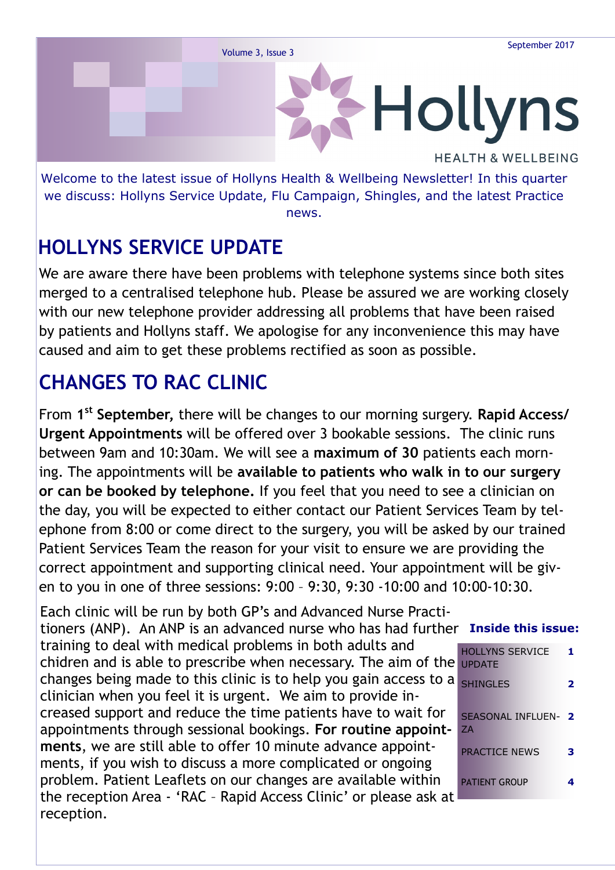

news.

# **HOLLYNS SERVICE UPDATE**

We are aware there have been problems with telephone systems since both sites merged to a centralised telephone hub. Please be assured we are working closely with our new telephone provider addressing all problems that have been raised by patients and Hollyns staff. We apologise for any inconvenience this may have caused and aim to get these problems rectified as soon as possible.

# **CHANGES TO RAC CLINIC**

From **1 st September,** there will be changes to our morning surgery. **Rapid Access/ Urgent Appointments** will be offered over 3 bookable sessions. The clinic runs between 9am and 10:30am. We will see a **maximum of 30** patients each morning. The appointments will be **available to patients who walk in to our surgery or can be booked by telephone.** If you feel that you need to see a clinician on the day, you will be expected to either contact our Patient Services Team by telephone from 8:00 or come direct to the surgery, you will be asked by our trained Patient Services Team the reason for your visit to ensure we are providing the correct appointment and supporting clinical need. Your appointment will be given to you in one of three sessions: 9:00 – 9:30, 9:30 -10:00 and 10:00-10:30.

tioners (ANP). An ANP is an advanced nurse who has had further Inside this issue: HOLLYNS SERVICE chidren and is able to prescribe when necessary. The aim of the UPDATE **1** SHINGLES **2** SEASONAL INFLUEN-**2** ZA PRACTICE NEWS **3** PATIENT GROUP **4** Each clinic will be run by both GP's and Advanced Nurse Practitraining to deal with medical problems in both adults and changes being made to this clinic is to help you gain access to a clinician when you feel it is urgent. We aim to provide increased support and reduce the time patients have to wait for appointments through sessional bookings. **For routine appointments**, we are still able to offer 10 minute advance appointments, if you wish to discuss a more complicated or ongoing problem. Patient Leaflets on our changes are available within the reception Area - 'RAC – Rapid Access Clinic' or please ask at reception.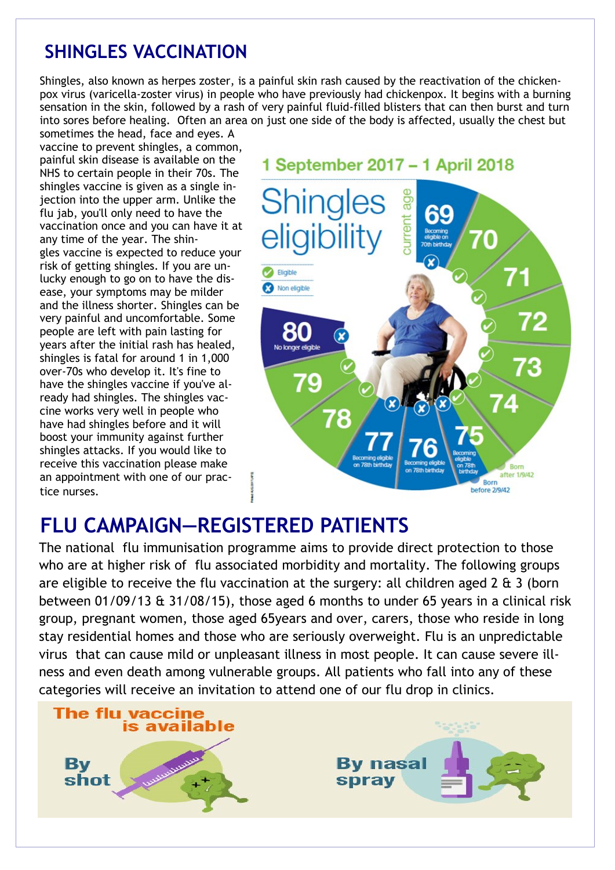### **SHINGLES VACCINATION**

Shingles, also known as herpes zoster, is a painful skin rash caused by the reactivation of the chickenpox virus (varicella-zoster virus) in people who have previously had chickenpox. It begins with a burning sensation in the skin, followed by a rash of very painful fluid-filled blisters that can then burst and turn into sores before healing. Often an area on just one side of the body is affected, usually the chest but

sometimes the head, face and eyes. A vaccine to prevent shingles, a common, painful skin disease is available on the NHS to certain people in their 70s. The shingles vaccine is given as a single injection into the upper arm. Unlike the flu jab, you'll only need to have the vaccination once and you can have it at any time of the year. The shingles vaccine is expected to reduce your risk of getting shingles. If you are unlucky enough to go on to have the disease, your symptoms may be milder and the illness shorter. Shingles can be very painful and uncomfortable. Some people are left with pain lasting for years after the initial rash has healed, shingles is fatal for around 1 in 1,000 over-70s who develop it. It's fine to have the shingles vaccine if you've already had shingles. The shingles vaccine works very well in people who have had shingles before and it will boost your immunity against further shingles attacks. If you would like to receive this vaccination please make an appointment with one of our practice nurses.



## **FLU CAMPAIGN—REGISTERED PATIENTS**

The national flu immunisation programme aims to provide direct protection to those who are at higher risk of flu associated morbidity and mortality. The following groups are eligible to receive the flu vaccination at the surgery: all children aged 2 & 3 (born between 01/09/13 & 31/08/15), those aged 6 months to under 65 years in a clinical risk group, pregnant women, those aged 65years and over, carers, those who reside in long stay residential homes and those who are seriously overweight. Flu is an unpredictable virus that can cause mild or unpleasant illness in most people. It can cause severe illness and even death among vulnerable groups. All patients who fall into any of these categories will receive an invitation to attend one of our flu drop in clinics.

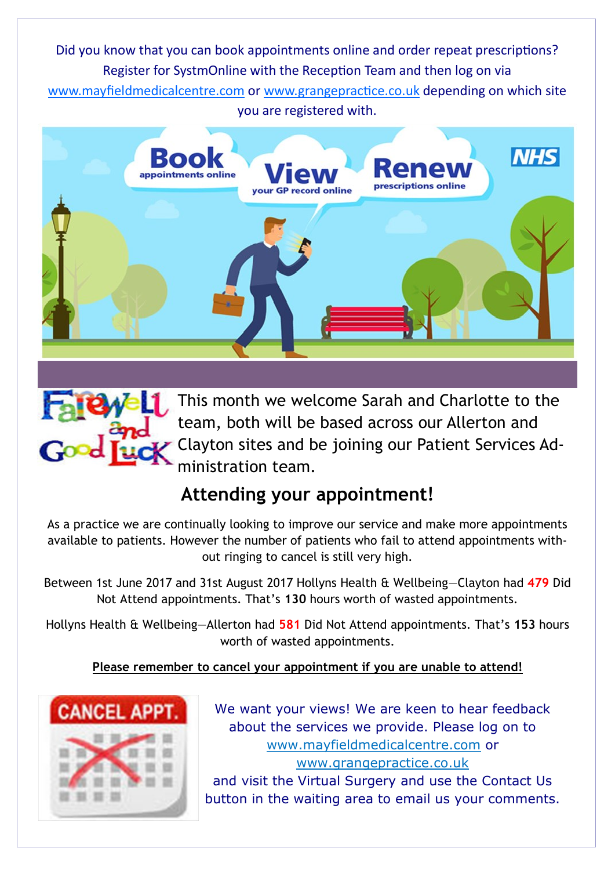Did you know that you can book appointments online and order repeat prescriptions? Register for SystmOnline with the Reception Team and then log on via www.mayfieldmedicalcentre.com or www.grangepractice.co.uk depending on which site you are registered with.





### **Attending your appointment!**

As a practice we are continually looking to improve our service and make more appointments available to patients. However the number of patients who fail to attend appointments without ringing to cancel is still very high.

Between 1st June 2017 and 31st August 2017 Hollyns Health & Wellbeing—Clayton had **479** Did Not Attend appointments. That's **130** hours worth of wasted appointments.

Hollyns Health & Wellbeing—Allerton had **581** Did Not Attend appointments. That's **153** hours worth of wasted appointments.

### **Please remember to cancel your appointment if you are unable to attend!**



We want your views! We are keen to hear feedback about the services we provide. Please log on to www.mayfieldmedicalcentre.com or www.grangepractice.co.uk and visit the Virtual Surgery and use the Contact Us button in the waiting area to email us your comments.